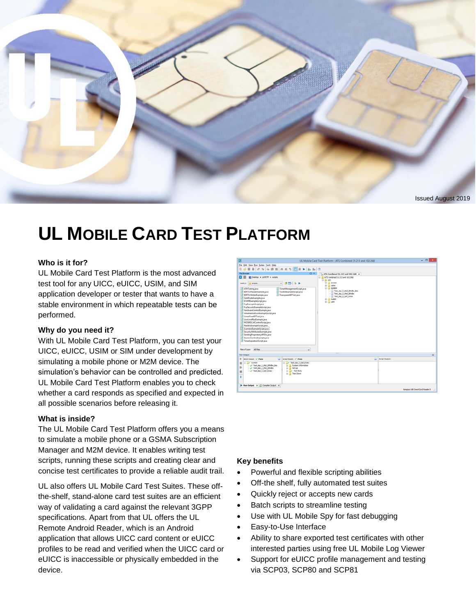

# **UL MOBILE CARD TEST PLATFORM**

#### **Who is it for?**

UL Mobile Card Test Platform is the most advanced test tool for any UICC, eUICC, USIM, and SIM application developer or tester that wants to have a stable environment in which repeatable tests can be performed.

#### **Why do you need it?**

With UL Mobile Card Test Platform, you can test your UICC, eUICC, USIM or SIM under development by simulating a mobile phone or M2M device. The simulation's behavior can be controlled and predicted. UL Mobile Card Test Platform enables you to check whether a card responds as specified and expected in all possible scenarios before releasing it.

#### **What is inside?**

The UL Mobile Card Test Platform offers you a means to simulate a mobile phone or a GSMA Subscription Manager and M2M device. It enables writing test scripts, running these scripts and creating clear and concise test certificates to provide a reliable audit trail.

UL also offers UL Mobile Card Test Suites. These offthe-shelf, stand-alone card test suites are an efficient way of validating a card against the relevant 3GPP specifications. Apart from that UL offers the UL Remote Android Reader, which is an Android application that allows UICC card content or eUICC profiles to be read and verified when the UICC card or eUICC is inaccessible or physically embedded in the device.

| ю                                                                                                                                                                                                                                                                                                                                                                                                                                                                                                                                                                                              | UL Mobile Card Test Platform - ATS Combined 31.213 and 102.268                                                                                                                   | $  -$                         |
|------------------------------------------------------------------------------------------------------------------------------------------------------------------------------------------------------------------------------------------------------------------------------------------------------------------------------------------------------------------------------------------------------------------------------------------------------------------------------------------------------------------------------------------------------------------------------------------------|----------------------------------------------------------------------------------------------------------------------------------------------------------------------------------|-------------------------------|
| Ele Edit View Bun Suites Tools Help                                                                                                                                                                                                                                                                                                                                                                                                                                                                                                                                                            |                                                                                                                                                                                  |                               |
| $\mathbb{E} \otimes [\mathcal{A} \otimes \mathcal{A}] \rightarrow \mathbb{E} \otimes [\mathcal{A} \otimes \mathcal{A}] \otimes \mathbb{E} \otimes \mathbb{E} \rightarrow [\mathcal{B} \otimes \mathcal{B}] \otimes \mathbb{E}$<br>50 <sub>o</sub>                                                                                                                                                                                                                                                                                                                                              |                                                                                                                                                                                  |                               |
| File Browser<br><b>DX</b>                                                                                                                                                                                                                                                                                                                                                                                                                                                                                                                                                                      |                                                                                                                                                                                  |                               |
| . .<br><b>BI Desktop &gt; ULHCTP &gt; scripts</b>                                                                                                                                                                                                                                                                                                                                                                                                                                                                                                                                              | ATS Combined 31.213 and 102 268 x<br>(2) ATS Combined 31.213 and 102 268                                                                                                         |                               |
|                                                                                                                                                                                                                                                                                                                                                                                                                                                                                                                                                                                                |                                                                                                                                                                                  |                               |
| $-0$ $-1$<br>Look inc.<br>all stripts<br><b>ATRTesting</b> java<br>Time/ManagementScript.java<br>TookitEvampleScript.java<br>BERTLVReaderExample.java<br><b>BERTLVWitterExample.java</b><br>TransparentEFTest.java<br>CertificateExample.java<br>EFARRExampleScript.java<br><b>FcpExampleScript.java</b><br>FcpSecurityExampleScript.java<br>HardwareControlExample.java<br>InitialiseAndScanExampleScript.java<br>LinearFixedEFTest.java<br>LowLevelPpsExample.java<br>MOSMSCaRControlScript.java<br>ReadersExampleScript.java<br>ScannenExampleScript.java<br>SecurityAttributesExample.java | iii - Lii ulee<br><b>S-A access</b><br>S-all catre<br><b>B-all</b> system<br>Test Api 3 Hod Bindhs Bas<br>Test Api 3 Hod Biridos<br>Test Apr 3 Ltd Grbs<br>S-A tooks<br>S-31 use |                               |
| SendingProprietaryAPDUs.java<br>SessionControlExample.java<br>Time/ExpirationScript.java<br>Files of type: All Files<br>$\mathbf{v}$                                                                                                                                                                                                                                                                                                                                                                                                                                                           |                                                                                                                                                                                  |                               |
| <b>Bun Output</b>                                                                                                                                                                                                                                                                                                                                                                                                                                                                                                                                                                              |                                                                                                                                                                                  | $\Box$                        |
| $\overline{\phantom{a}}$<br>P Balch Results of Pass<br>Solot Results V Pass<br>C Ly Test Api 3 Light Gyba<br><b>ID-By system</b><br>п<br><b>System Information</b><br>Test Api 3 Hol Birdhs Bos<br>s.<br>٠<br>D<br>- V Test Api 3 Hbd Bthdbs<br>in all Set Up<br>V Test_Api_3_Upf_Guba<br>Test Body<br>÷<br>ш<br>G- Tear Down<br>÷                                                                                                                                                                                                                                                             | $\overline{\phantom{a}}$<br>Stript Outputs                                                                                                                                       |                               |
| B Run Output X ZZ Compler Output X                                                                                                                                                                                                                                                                                                                                                                                                                                                                                                                                                             |                                                                                                                                                                                  | Genoka USB SnartCard Reader 0 |

#### **Key benefits**

- Powerful and flexible scripting abilities
- Off-the shelf, fully automated test suites
- Quickly reject or accepts new cards
- Batch scripts to streamline testing
- Use with UL Mobile Spy for fast debugging
- Easy-to-Use Interface
- Ability to share exported test certificates with other interested parties using free UL Mobile Log Viewer
- Support for eUICC profile management and testing via SCP03, SCP80 and SCP81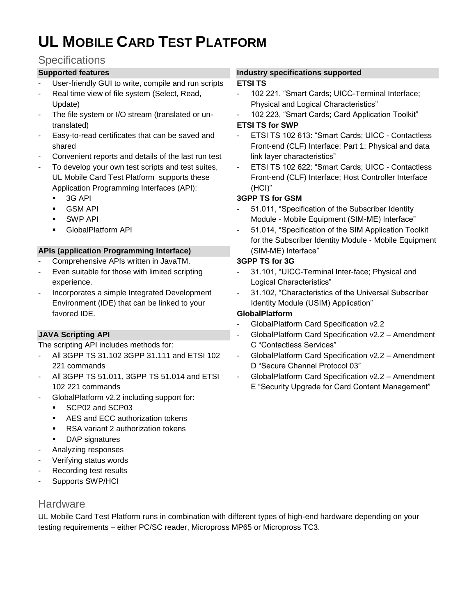# **UL MOBILE CARD TEST PLATFORM**

## **Specifications**

## **Supported features**

- User-friendly GUI to write, compile and run scripts
- Real time view of file system (Select, Read, Update)
- The file system or I/O stream (translated or untranslated)
- Easy-to-read certificates that can be saved and shared
- Convenient reports and details of the last run test
- To develop your own test scripts and test suites, UL Mobile Card Test Platform supports these Application Programming Interfaces (API):
	- 3G API
	- GSM API
	- SWP API
	- **GlobalPlatform API**

#### **APIs (application Programming Interface)**

- Comprehensive APIs written in JavaTM.
- Even suitable for those with limited scripting experience.
- Incorporates a simple Integrated Development Environment (IDE) that can be linked to your favored IDE.

## **JAVA Scripting API**

The scripting API includes methods for:

- All 3GPP TS 31.102 3GPP 31.111 and ETSI 102 221 commands
- All 3GPP TS 51.011, 3GPP TS 51.014 and ETSI 102 221 commands
- GlobalPlatform v2.2 including support for:
	- SCP02 and SCP03
		- AES and ECC authorization tokens
	- RSA variant 2 authorization tokens
	- DAP signatures
- Analyzing responses
- Verifying status words
- Recording test results
- Supports SWP/HCI

## **Hardware**

**Industry specifications supported** 

#### **ETSI TS**

- 102 221, "Smart Cards; UICC-Terminal Interface; Physical and Logical Characteristics"
- 102 223, "Smart Cards; Card Application Toolkit"

#### **ETSI TS for SWP**

- ETSI TS 102 613: "Smart Cards: UICC Contactless Front-end (CLF) Interface; Part 1: Physical and data link layer characteristics"
- ETSI TS 102 622: "Smart Cards; UICC Contactless Front-end (CLF) Interface; Host Controller Interface (HCI)"

## **3GPP TS for GSM**

- 51.011, "Specification of the Subscriber Identity Module - Mobile Equipment (SIM-ME) Interface"
- 51.014, "Specification of the SIM Application Toolkit for the Subscriber Identity Module - Mobile Equipment (SIM-ME) Interface"

## **3GPP TS for 3G**

- 31.101, "UICC-Terminal Inter-face; Physical and Logical Characteristics"
- 31.102, "Characteristics of the Universal Subscriber Identity Module (USIM) Application"

## **GlobalPlatform**

- GlobalPlatform Card Specification v2.2
- GlobalPlatform Card Specification v2.2 Amendment C "Contactless Services"
- GlobalPlatform Card Specification v2.2 Amendment D "Secure Channel Protocol 03"
- GlobalPlatform Card Specification v2.2 Amendment E "Security Upgrade for Card Content Management"

UL Mobile Card Test Platform runs in combination with different types of high-end hardware depending on your testing requirements – either PC/SC reader, Micropross MP65 or Micropross TC3.